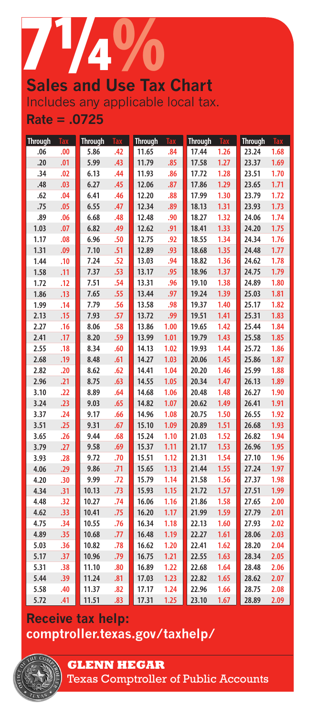

# Includes any applicable local tax. **Rate = .0725**

| <b>Through</b> | <b>Tax</b> | <b>Through</b> | <b>Tax</b> | <b>Through</b> | <b>Tax</b> | <b>Through</b> | Tax  | <b>Through</b> | <b>Tax</b> |
|----------------|------------|----------------|------------|----------------|------------|----------------|------|----------------|------------|
| .06            | .00        | 5.86           | .42        | 11.65          | .84        | 17.44          | 1.26 | 23.24          | 1.68       |
| .20            | .01        | 5.99           | .43        | 11.79          | .85        | 17.58          | 1.27 | 23.37          | 1.69       |
| .34            | .02        | 6.13           | .44        | 11.93          | .86        | 17.72          | 1.28 | 23.51          | 1.70       |
| .48            | .03        | 6.27           | .45        | 12.06          | .87        | 17.86          | 1.29 | 23.65          | 1.71       |
| .62            | .04        | 6.41           | .46        | 12.20          | .88        | 17.99          | 1.30 | 23.79          | 1.72       |
| .75            | .05        | 6.55           | .47        | 12.34          | .89        | 18.13          | 1.31 | 23.93          | 1.73       |
| .89            | .06        | 6.68           | .48        | 12.48          | .90        | 18.27          | 1.32 | 24.06          | 1.74       |
| 1.03           | .07        | 6.82           | .49        | 12.62          | .91        | 18.41          | 1.33 | 24.20          | 1.75       |
| 1.17           | .08        | 6.96           | .50        | 12.75          | .92        | 18.55          | 1.34 | 24.34          | 1.76       |
| 1.31           | .09        | 7.10           | .51        | 12.89          | .93        | 18.68          | 1.35 | 24.48          | 1.77       |
| 1.44           | .10        | 7.24           | .52        | 13.03          | .94        | 18.82          | 1.36 | 24.62          | 1.78       |
| 1.58           | .11        | 7.37           | .53        | 13.17          | .95        | 18.96          | 1.37 | 24.75          | 1.79       |
| 1.72           | .12        | 7.51           | .54        | 13.31          | .96        | 19.10          | 1.38 | 24.89          | 1.80       |
| 1.86           | .13        | 7.65           | .55        | 13.44          | .97        | 19.24          | 1.39 | 25.03          | 1.81       |
| 1.99           | .14        | 7.79           | .56        | 13.58          | .98        | 19.37          | 1.40 | 25.17          | 1.82       |
| 2.13           | .15        | 7.93           | .57        | 13.72          | .99        | 19.51          | 1.41 | 25.31          | 1.83       |
| 2.27           | .16        | 8.06           | .58        | 13.86          | 1.00       | 19.65          | 1.42 | 25.44          | 1.84       |
| 2.41           | .17        | 8.20           | .59        | 13.99          | 1.01       | 19.79          | 1.43 | 25.58          | 1.85       |
| 2.55           | .18        | 8.34           | .60        | 14.13          | 1.02       | 19.93          | 1.44 | 25.72          | 1.86       |
| 2.68           | .19        | 8.48           | .61        | 14.27          | 1.03       | 20.06          | 1.45 | 25.86          | 1.87       |
| 2.82           | .20        | 8.62           | .62        | 14.41          | 1.04       | 20.20          | 1.46 | 25.99          | 1.88       |
| 2.96           | .21        | 8.75           | .63        | 14.55          | 1.05       | 20.34          | 1.47 | 26.13          | 1.89       |
| 3.10           | .22        | 8.89           | .64        | 14.68          | 1.06       | 20.48          | 1.48 | 26.27          | 1.90       |
| 3.24           | .23        | 9.03           | .65        | 14.82          | 1.07       | 20.62          | 1.49 | 26.41          | 1.91       |
| 3.37           | .24        | 9.17           | .66        | 14.96          | 1.08       | 20.75          | 1.50 | 26.55          | 1.92       |
| 3.51           | .25        | 9.31           | .67        | 15.10          | 1.09       | 20.89          | 1.51 | 26.68          | 1.93       |
| 3.65           | .26        | 9.44           | .68        | 15.24          | 1.10       | 21.03          | 1.52 | 26.82          | 1.94       |
| 3.79           | .27        | 9.58           | .69        | 15.37          | 1.11       | 21.17          | 1.53 | 26.96          | 1.95       |
| 3.93           | .28        | 9.72           | .70        | 15.51          | 1.12       | 21.31          | 1.54 | 27.10          | 1.96       |
| 4.06           | .29        | 9.86           | .71        | 15.65          | 1.13       | 21.44          | 1.55 | 27.24          | 1.97       |
| 4.20           | .30        | 9.99           | .72        | 15.79          | 1.14       | 21.58          | 1.56 | 27.37          | 1.98       |
| 4.34           | .31        | 10.13          | .73        | 15.93          | 1.15       | 21.72          | 1.57 | 27.51          | 1.99       |
| 4.48           | .32        | 10.27          | .74        | 16.06          | 1.16       | 21.86          | 1.58 | 27.65          | 2.00       |
| 4.62           | .33        | 10.41          | .75        | 16.20          | 1.17       | 21.99          | 1.59 | 27.79          | 2.01       |
| 4.75           | .34        | 10.55          | .76        | 16.34          | 1.18       | 22.13          | 1.60 | 27.93          | 2.02       |
| 4.89           | .35        | 10.68          | .77        | 16.48          | 1.19       | 22.27          | 1.61 | 28.06          | 2.03       |
| 5.03           | .36        | 10.82          | .78        | 16.62          | 1.20       | 22.41          | 1.62 | 28.20          | 2.04       |
| 5.17           | .37        | 10.96          | .79        | 16.75          | $1.21$     | 22.55          | 1.63 | 28.34          | 2.05       |
| 5.31           | .38        | 11.10          | .80        | 16.89          | 1.22       | 22.68          | 1.64 | 28.48          | 2.06       |
| 5.44           | .39        | 11.24          | .81        | 17.03          | 1.23       | 22.82          | 1.65 | 28.62          | 2.07       |
| 5.58           | .40        | 11.37          | .82        | 17.17          | 1.24       | 22.96          | 1.66 | 28.75          | 2.08       |
| 5.72           | .41        | 11.51          | .83        | 17.31          | 1.25       | 23.10          | 1.67 | 28.89          | 2.09       |

# **Receive tax help: <comptroller.texas.gov/taxhelp/>**



# **GLENN HEGAR**

Texas Comptroller of Public Accounts